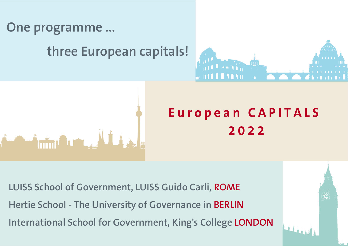

Antonio Antonio

## **three European capitals!**



# **E u r o p e a n C A P I T A L S 2 0 2 2**

**LUISS School of Government, LUISS Guido Carli, ROME Hertie School - The University of Governance in BERLIN International School for Government, King's College LONDON**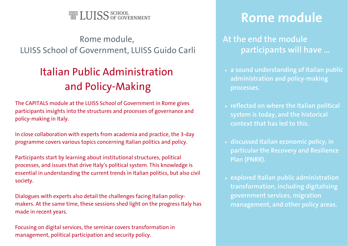

#### Rome module, LUISS School of Government, LUISS Guido Carli

### Italian Public Administration and Policy-Making

The CAPITALS module at the LUISS School of Government in Rome gives participants insights into the structures and processes of governance and policy-making in Italy.

In close collaboration with experts from academia and practice, the 3-day programme covers various topics concerning Italian politics and policy.

Participants start by learning about institutional structures, political processes, and issues that drive Italy's political system. This knowledge is essential in understanding the current trends in Italian politics, but also civil society.

Dialogues with experts also detail the challenges facing Italian policymakers. At the same time, these sessions shed light on the progress Italy has made in recent years.

Focusing on digital services, the seminar covers transformation in management, political participation and security policy.

## **Rome module**

#### **At the end the module participants will have ...**

- **a sound understanding of Italian public administration and policy-making processes.**
- **reflected on where the Italian political system is today, and the historical context that has led to this.**
- **discussed Italian economic policy, in particular the Recovery and Resilience Plan (PNRR).**
- **explored Italian public administration transformation, including digitalising government services, migration management, and other policy areas.**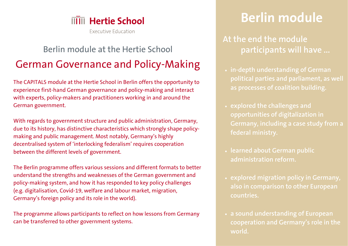

Executive Education

### Berlin module at the Hertie School German Governance and Policy-Making

The CAPITALS module at the Hertie School in Berlin offers the opportunity to experience first-hand German governance and policy-making and interact with experts, policy-makers and practitioners working in and around the German government.

With regards to government structure and public administration, Germany, due to its history, has distinctive characteristics which strongly shape policymaking and public management. Most notably, Germany's highly decentralised system of 'interlocking federalism' requires cooperation between the different levels of government.

The Berlin programme offers various sessions and different formats to better understand the strengths and weaknesses of the German government and policy-making system, and how it has responded to key policy challenges (e.g. digitalisation, Covid-19, welfare and labour market, migration, Germany's foreign policy and its role in the world).

The programme allows participants to reflect on how lessons from Germany can be transferred to other government systems.

## **Berlin module**

**At the end the module participants will have ...**

- **in-depth understanding of German political parties and parliament, as well as processes of coalition building.**
- **explored the challenges and opportunities of digitalization in Germany, including a case study from a federal ministry.**
- **learned about German public administration reform.**
- **explored migration policy in Germany, also in comparison to other European countries.**
- **a sound understanding of European cooperation and Germany's role in the world.**